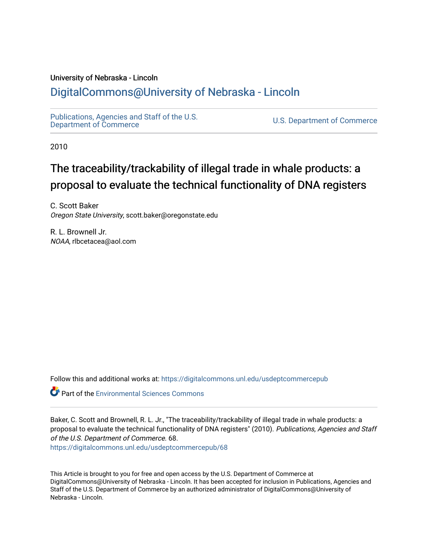### University of Nebraska - Lincoln

### [DigitalCommons@University of Nebraska - Lincoln](https://digitalcommons.unl.edu/)

[Publications, Agencies and Staff of the U.S.](https://digitalcommons.unl.edu/usdeptcommercepub)

U.S. [Department of Commerce](https://digitalcommons.unl.edu/usdeptcommercepub)

2010

## The traceability/trackability of illegal trade in whale products: a proposal to evaluate the technical functionality of DNA registers

C. Scott Baker Oregon State University, scott.baker@oregonstate.edu

R. L. Brownell Jr. NOAA, rlbcetacea@aol.com

Follow this and additional works at: [https://digitalcommons.unl.edu/usdeptcommercepub](https://digitalcommons.unl.edu/usdeptcommercepub?utm_source=digitalcommons.unl.edu%2Fusdeptcommercepub%2F68&utm_medium=PDF&utm_campaign=PDFCoverPages)

**C**<sup> $\bullet$ </sup> Part of the [Environmental Sciences Commons](http://network.bepress.com/hgg/discipline/167?utm_source=digitalcommons.unl.edu%2Fusdeptcommercepub%2F68&utm_medium=PDF&utm_campaign=PDFCoverPages)

Baker, C. Scott and Brownell, R. L. Jr., "The traceability/trackability of illegal trade in whale products: a proposal to evaluate the technical functionality of DNA registers" (2010). Publications, Agencies and Staff of the U.S. Department of Commerce. 68. [https://digitalcommons.unl.edu/usdeptcommercepub/68](https://digitalcommons.unl.edu/usdeptcommercepub/68?utm_source=digitalcommons.unl.edu%2Fusdeptcommercepub%2F68&utm_medium=PDF&utm_campaign=PDFCoverPages) 

This Article is brought to you for free and open access by the U.S. Department of Commerce at DigitalCommons@University of Nebraska - Lincoln. It has been accepted for inclusion in Publications, Agencies and Staff of the U.S. Department of Commerce by an authorized administrator of DigitalCommons@University of Nebraska - Lincoln.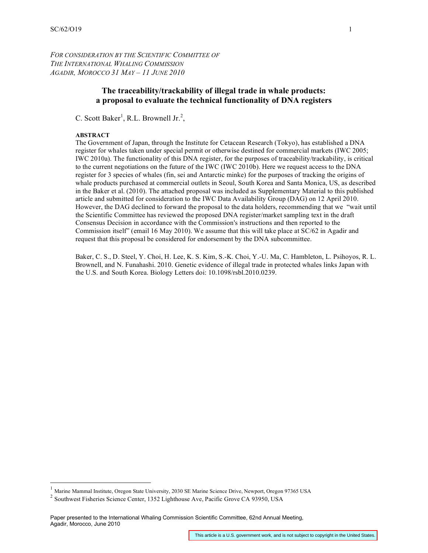*FOR CONSIDERATION BY THE SCIENTIFIC COMMITTEE OF THE INTERNATIONAL WHALING COMMISSION AGADIR, MOROCCO 31 MAY – 11 JUNE 2010*

#### **The traceability/trackability of illegal trade in whale products: a proposal to evaluate the technical functionality of DNA registers**

C. Scott Baker<sup>1</sup>, R.L. Brownell Jr.<sup>2</sup>,

#### **ABSTRACT**

The Government of Japan, through the Institute for Cetacean Research (Tokyo), has established a DNA register for whales taken under special permit or otherwise destined for commercial markets (IWC 2005; IWC 2010a). The functionality of this DNA register, for the purposes of traceability/trackability, is critical to the current negotiations on the future of the IWC (IWC 2010b). Here we request access to the DNA register for 3 species of whales (fin, sei and Antarctic minke) for the purposes of tracking the origins of whale products purchased at commercial outlets in Seoul, South Korea and Santa Monica, US, as described in the Baker et al. (2010). The attached proposal was included as Supplementary Material to this published article and submitted for consideration to the IWC Data Availability Group (DAG) on 12 April 2010. However, the DAG declined to forward the proposal to the data holders, recommending that we "wait until the Scientific Committee has reviewed the proposed DNA register/market sampling text in the draft Consensus Decision in accordance with the Commission's instructions and then reported to the Commission itself" (email 16 May 2010). We assume that this will take place at SC/62 in Agadir and request that this proposal be considered for endorsement by the DNA subcommittee.

Baker, C. S., D. Steel, Y. Choi, H. Lee, K. S. Kim, S.-K. Choi, Y.-U. Ma, C. Hambleton, L. Psihoyos, R. L. Brownell, and N. Funahashi. 2010. Genetic evidence of illegal trade in protected whales links Japan with the U.S. and South Korea. Biology Letters doi: 10.1098/rsbl.2010.0239.

<sup>&</sup>lt;sup>1</sup> Marine Mammal Institute, Oregon State University, 2030 SE Marine Science Drive, Newport, Oregon 97365 USA

<sup>2</sup> Southwest Fisheries Science Center, 1352 Lighthouse Ave, Pacific Grove CA 93950, USA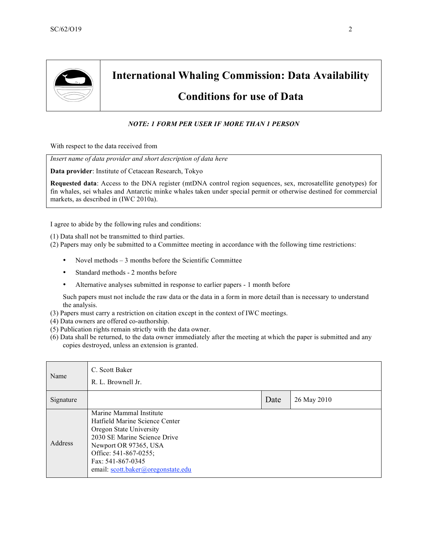

# **International Whaling Commission: Data Availability**

### **Conditions for use of Data**

#### *NOTE: 1 FORM PER USER IF MORE THAN 1 PERSON*

With respect to the data received from

*Insert name of data provider and short description of data here*

**Data provider**: Institute of Cetacean Research, Tokyo

**Requested data**: Access to the DNA register (mtDNA control region sequences, sex, mcrosatellite genotypes) for fin whales, sei whales and Antarctic minke whales taken under special permit or otherwise destined for commercial markets, as described in (IWC 2010a).

I agree to abide by the following rules and conditions:

(1) Data shall not be transmitted to third parties.

(2) Papers may only be submitted to a Committee meeting in accordance with the following time restrictions:

- Novel methods 3 months before the Scientific Committee
- Standard methods 2 months before
- Alternative analyses submitted in response to earlier papers 1 month before

Such papers must not include the raw data or the data in a form in more detail than is necessary to understand the analysis.

- (3) Papers must carry a restriction on citation except in the context of IWC meetings.
- (4) Data owners are offered co-authorship.
- (5) Publication rights remain strictly with the data owner.
- (6) Data shall be returned, to the data owner immediately after the meeting at which the paper is submitted and any copies destroyed, unless an extension is granted.

| Name           | C. Scott Baker<br>R. L. Brownell Jr.                                                                                                                                                                                              |      |             |
|----------------|-----------------------------------------------------------------------------------------------------------------------------------------------------------------------------------------------------------------------------------|------|-------------|
| Signature      |                                                                                                                                                                                                                                   | Date | 26 May 2010 |
| <b>Address</b> | Marine Mammal Institute<br>Hatfield Marine Science Center<br>Oregon State University<br>2030 SE Marine Science Drive<br>Newport OR 97365, USA<br>Office: 541-867-0255;<br>Fax: 541-867-0345<br>email: scott.baker@oregonstate.edu |      |             |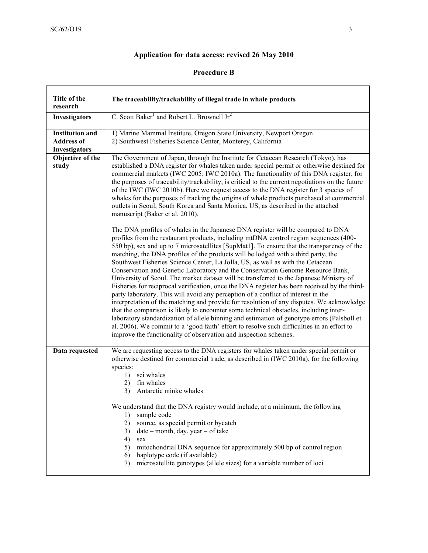### **Application for data access: revised 26 May 2010**

### **Procedure B**

| Title of the<br>research                                     | The traceability/trackability of illegal trade in whale products                                                                                                                                                                                                                                                                                                                                                                                                                                                                                                                                                                                                                                                                                                                                                                                                                                                                                                                                                                                                                                                                                                                                                                                                                                                                                                                                                                                                                                                                                                                                                                                                                                                                                                                                                                                                                                                                                                  |  |
|--------------------------------------------------------------|-------------------------------------------------------------------------------------------------------------------------------------------------------------------------------------------------------------------------------------------------------------------------------------------------------------------------------------------------------------------------------------------------------------------------------------------------------------------------------------------------------------------------------------------------------------------------------------------------------------------------------------------------------------------------------------------------------------------------------------------------------------------------------------------------------------------------------------------------------------------------------------------------------------------------------------------------------------------------------------------------------------------------------------------------------------------------------------------------------------------------------------------------------------------------------------------------------------------------------------------------------------------------------------------------------------------------------------------------------------------------------------------------------------------------------------------------------------------------------------------------------------------------------------------------------------------------------------------------------------------------------------------------------------------------------------------------------------------------------------------------------------------------------------------------------------------------------------------------------------------------------------------------------------------------------------------------------------------|--|
| Investigators                                                | C. Scott Baker <sup>1</sup> and Robert L. Brownell Jr <sup>2</sup>                                                                                                                                                                                                                                                                                                                                                                                                                                                                                                                                                                                                                                                                                                                                                                                                                                                                                                                                                                                                                                                                                                                                                                                                                                                                                                                                                                                                                                                                                                                                                                                                                                                                                                                                                                                                                                                                                                |  |
| <b>Institution and</b><br><b>Address of</b><br>Investigators | 1) Marine Mammal Institute, Oregon State University, Newport Oregon<br>2) Southwest Fisheries Science Center, Monterey, California                                                                                                                                                                                                                                                                                                                                                                                                                                                                                                                                                                                                                                                                                                                                                                                                                                                                                                                                                                                                                                                                                                                                                                                                                                                                                                                                                                                                                                                                                                                                                                                                                                                                                                                                                                                                                                |  |
| Objective of the<br>study                                    | The Government of Japan, through the Institute for Cetacean Research (Tokyo), has<br>established a DNA register for whales taken under special permit or otherwise destined for<br>commercial markets (IWC 2005; IWC 2010a). The functionality of this DNA register, for<br>the purposes of traceability/trackability, is critical to the current negotiations on the future<br>of the IWC (IWC 2010b). Here we request access to the DNA register for 3 species of<br>whales for the purposes of tracking the origins of whale products purchased at commercial<br>outlets in Seoul, South Korea and Santa Monica, US, as described in the attached<br>manuscript (Baker et al. 2010).<br>The DNA profiles of whales in the Japanese DNA register will be compared to DNA<br>profiles from the restaurant products, including mtDNA control region sequences (400-<br>550 bp), sex and up to 7 microsatellites [SupMat1]. To ensure that the transparency of the<br>matching, the DNA profiles of the products will be lodged with a third party, the<br>Southwest Fisheries Science Center, La Jolla, US, as well as with the Cetacean<br>Conservation and Genetic Laboratory and the Conservation Genome Resource Bank,<br>University of Seoul. The market dataset will be transferred to the Japanese Ministry of<br>Fisheries for reciprocal verification, once the DNA register has been received by the third-<br>party laboratory. This will avoid any perception of a conflict of interest in the<br>interpretation of the matching and provide for resolution of any disputes. We acknowledge<br>that the comparison is likely to encounter some technical obstacles, including inter-<br>laboratory standardization of allele binning and estimation of genotype errors (Palsbøll et<br>al. 2006). We commit to a 'good faith' effort to resolve such difficulties in an effort to<br>improve the functionality of observation and inspection schemes. |  |
| Data requested                                               | We are requesting access to the DNA registers for whales taken under special permit or<br>otherwise destined for commercial trade, as described in (IWC 2010a), for the following<br>species:<br>sei whales<br>1)<br>fin whales<br>2)<br>Antarctic minke whales<br>3)<br>We understand that the DNA registry would include, at a minimum, the following<br>sample code<br>1)<br>source, as special permit or bycatch<br>2)<br>$date - month, day, year - of take$<br>3)<br>4)<br>sex<br>mitochondrial DNA sequence for approximately 500 bp of control region<br>5)<br>haplotype code (if available)<br>6)<br>microsatellite genotypes (allele sizes) for a variable number of loci<br>7)                                                                                                                                                                                                                                                                                                                                                                                                                                                                                                                                                                                                                                                                                                                                                                                                                                                                                                                                                                                                                                                                                                                                                                                                                                                                         |  |